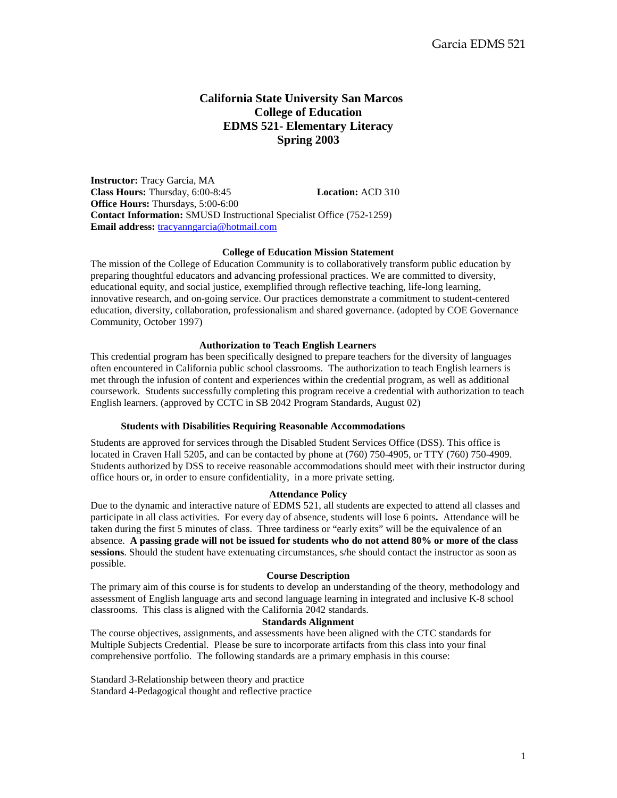# **California State University San Marcos College of Education EDMS 521- Elementary Literacy Spring 2003**

**Instructor:** Tracy Garcia, MA **Class Hours:** Thursday, 6:00-8:45 **Location:** ACD 310 **Office Hours:** Thursdays, 5:00-6:00 **Contact Information:** SMUSD Instructional Specialist Office (752-1259) **Email address:** [tracyanngarcia@hotmail.com](mailto:tracyanngarcia@hotmail.com)

### **College of Education Mission Statement**

The mission of the College of Education Community is to collaboratively transform public education by preparing thoughtful educators and advancing professional practices. We are committed to diversity, educational equity, and social justice, exemplified through reflective teaching, life-long learning, innovative research, and on-going service. Our practices demonstrate a commitment to student-centered education, diversity, collaboration, professionalism and shared governance. (adopted by COE Governance Community, October 1997)

### **Authorization to Teach English Learners**

This credential program has been specifically designed to prepare teachers for the diversity of languages often encountered in California public school classrooms. The authorization to teach English learners is met through the infusion of content and experiences within the credential program, as well as additional coursework. Students successfully completing this program receive a credential with authorization to teach English learners. (approved by CCTC in SB 2042 Program Standards, August 02)

### **Students with Disabilities Requiring Reasonable Accommodations**

Students are approved for services through the Disabled Student Services Office (DSS). This office is located in Craven Hall 5205, and can be contacted by phone at (760) 750-4905, or TTY (760) 750-4909. Students authorized by DSS to receive reasonable accommodations should meet with their instructor during office hours or, in order to ensure confidentiality, in a more private setting.

### **Attendance Policy**

Due to the dynamic and interactive nature of EDMS 521, all students are expected to attend all classes and participate in all class activities. For every day of absence, students will lose 6 points**.** Attendance will be taken during the first 5 minutes of class. Three tardiness or "early exits" will be the equivalence of an absence. **A passing grade will not be issued for students who do not attend 80% or more of the class sessions**. Should the student have extenuating circumstances, s/he should contact the instructor as soon as possible.

### **Course Description**

The primary aim of this course is for students to develop an understanding of the theory, methodology and assessment of English language arts and second language learning in integrated and inclusive K-8 school classrooms. This class is aligned with the California 2042 standards.

### **Standards Alignment**

The course objectives, assignments, and assessments have been aligned with the CTC standards for Multiple Subjects Credential. Please be sure to incorporate artifacts from this class into your final comprehensive portfolio. The following standards are a primary emphasis in this course:

Standard 3-Relationship between theory and practice Standard 4-Pedagogical thought and reflective practice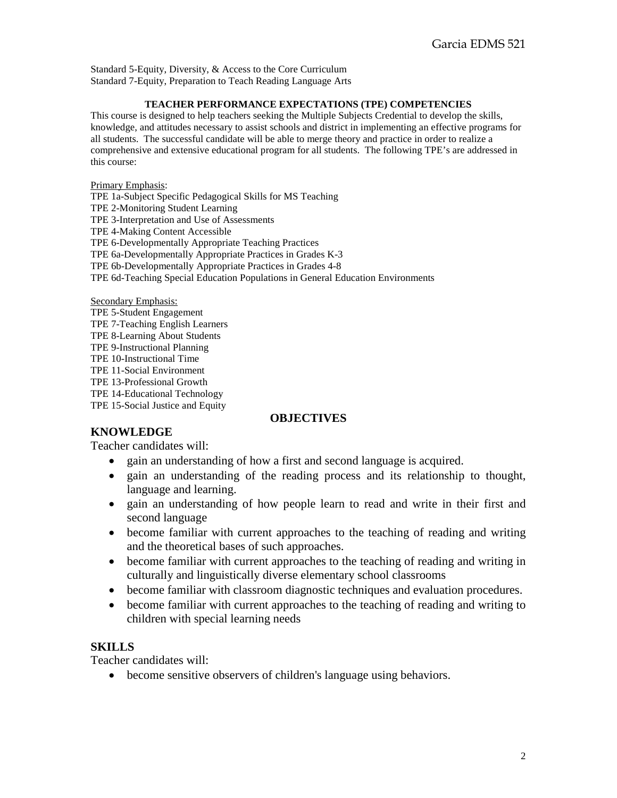Standard 5-Equity, Diversity, & Access to the Core Curriculum Standard 7-Equity, Preparation to Teach Reading Language Arts

### **TEACHER PERFORMANCE EXPECTATIONS (TPE) COMPETENCIES**

This course is designed to help teachers seeking the Multiple Subjects Credential to develop the skills, knowledge, and attitudes necessary to assist schools and district in implementing an effective programs for all students. The successful candidate will be able to merge theory and practice in order to realize a comprehensive and extensive educational program for all students. The following TPE's are addressed in this course:

Primary Emphasis: TPE 1a-Subject Specific Pedagogical Skills for MS Teaching TPE 2-Monitoring Student Learning TPE 3-Interpretation and Use of Assessments TPE 4-Making Content Accessible TPE 6-Developmentally Appropriate Teaching Practices TPE 6a-Developmentally Appropriate Practices in Grades K-3 TPE 6b-Developmentally Appropriate Practices in Grades 4-8 TPE 6d-Teaching Special Education Populations in General Education Environments

Secondary Emphasis: TPE 5-Student Engagement TPE 7-Teaching English Learners TPE 8-Learning About Students TPE 9-Instructional Planning TPE 10-Instructional Time TPE 11-Social Environment TPE 13-Professional Growth TPE 14-Educational Technology TPE 15-Social Justice and Equity

# **OBJECTIVES**

# **KNOWLEDGE**

Teacher candidates will:

- gain an understanding of how a first and second language is acquired.
- gain an understanding of the reading process and its relationship to thought, language and learning.
- gain an understanding of how people learn to read and write in their first and second language
- become familiar with current approaches to the teaching of reading and writing and the theoretical bases of such approaches.
- become familiar with current approaches to the teaching of reading and writing in culturally and linguistically diverse elementary school classrooms
- become familiar with classroom diagnostic techniques and evaluation procedures.
- become familiar with current approaches to the teaching of reading and writing to children with special learning needs

# **SKILLS**

Teacher candidates will:

• become sensitive observers of children's language using behaviors.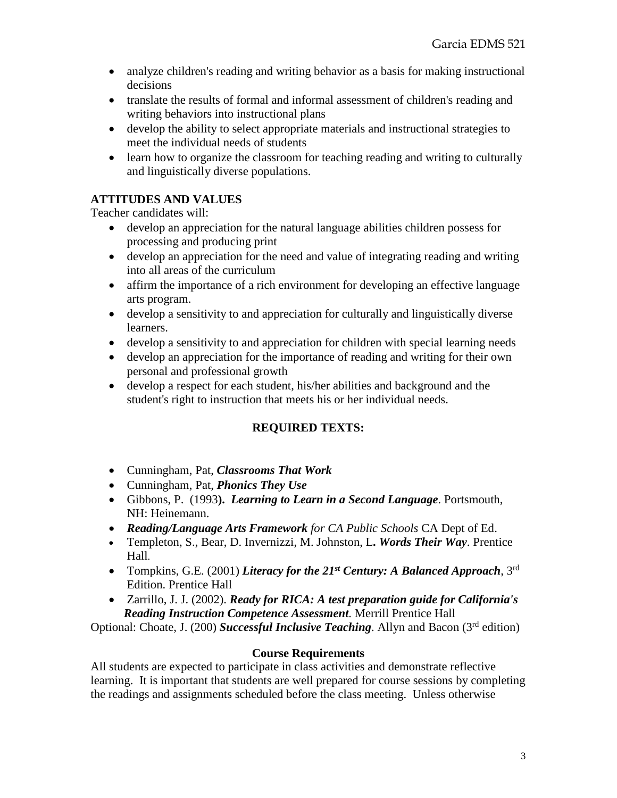- analyze children's reading and writing behavior as a basis for making instructional decisions
- translate the results of formal and informal assessment of children's reading and writing behaviors into instructional plans
- develop the ability to select appropriate materials and instructional strategies to meet the individual needs of students
- learn how to organize the classroom for teaching reading and writing to culturally and linguistically diverse populations.

# **ATTITUDES AND VALUES**

Teacher candidates will:

- develop an appreciation for the natural language abilities children possess for processing and producing print
- develop an appreciation for the need and value of integrating reading and writing into all areas of the curriculum
- affirm the importance of a rich environment for developing an effective language arts program.
- develop a sensitivity to and appreciation for culturally and linguistically diverse learners.
- develop a sensitivity to and appreciation for children with special learning needs
- develop an appreciation for the importance of reading and writing for their own personal and professional growth
- develop a respect for each student, his/her abilities and background and the student's right to instruction that meets his or her individual needs.

# **REQUIRED TEXTS:**

- Cunningham, Pat, *Classrooms That Work*
- Cunningham, Pat, *Phonics They Use*
- Gibbons, P. (1993**).** *Learning to Learn in a Second Language*. Portsmouth, NH: Heinemann.
- *Reading/Language Arts Framework for CA Public Schools* CA Dept of Ed.
- Templeton, S., Bear, D. Invernizzi, M. Johnston, L**.** *Words Their Way*. Prentice Hall.
- Tompkins, G.E. (2001) *Literacy for the 21st Century: A Balanced Approach*, 3rd Edition. Prentice Hall
- Zarrillo, J. J. (2002). *Ready for RICA: A test preparation guide for California's Reading Instruction Competence Assessment*. Merrill Prentice Hall

Optional: Choate, J. (200) *Successful Inclusive Teaching*. Allyn and Bacon (3<sup>rd</sup> edition)

# **Course Requirements**

All students are expected to participate in class activities and demonstrate reflective learning. It is important that students are well prepared for course sessions by completing the readings and assignments scheduled before the class meeting. Unless otherwise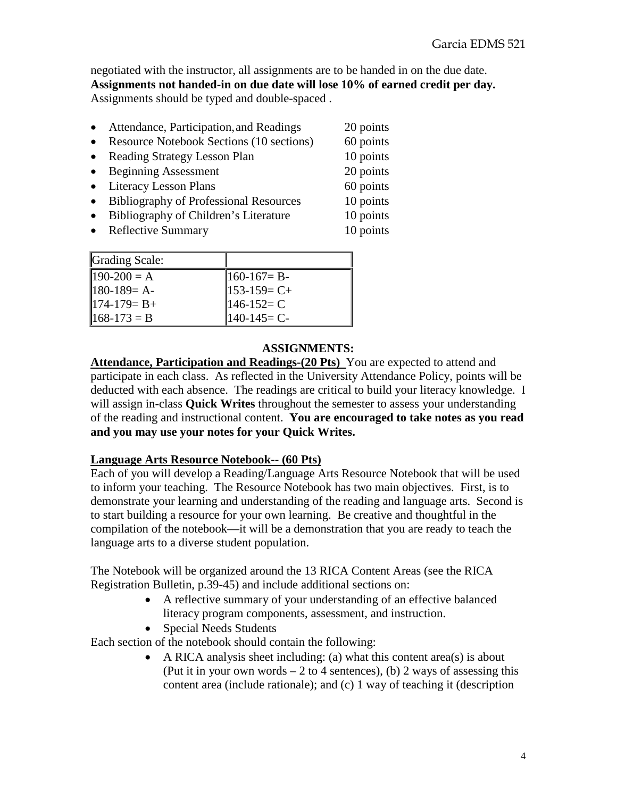negotiated with the instructor, all assignments are to be handed in on the due date. **Assignments not handed-in on due date will lose 10% of earned credit per day.** Assignments should be typed and double-spaced .

- Attendance, Participation, and Readings 20 points
- Resource Notebook Sections (10 sections) 60 points
- Reading Strategy Lesson Plan 10 points
- Beginning Assessment 20 points
- Literacy Lesson Plans 60 points
- Bibliography of Professional Resources 10 points
- Bibliography of Children's Literature 10 points
- Reflective Summary 10 points

| Grading Scale: |                 |
|----------------|-----------------|
| $190-200 = A$  | $160-167=$ B-   |
| $180-189=$ A-  | $153-159=C+$    |
| $174-179= B+$  | $146 - 152 = C$ |
| $168-173 = B$  | $140-145=C-$    |

# **ASSIGNMENTS:**

**Attendance, Participation and Readings-(20 Pts)** You are expected to attend and participate in each class. As reflected in the University Attendance Policy, points will be deducted with each absence. The readings are critical to build your literacy knowledge. I will assign in-class **Quick Writes** throughout the semester to assess your understanding of the reading and instructional content. **You are encouraged to take notes as you read and you may use your notes for your Quick Writes.** 

# **Language Arts Resource Notebook-- (60 Pts)**

Each of you will develop a Reading/Language Arts Resource Notebook that will be used to inform your teaching. The Resource Notebook has two main objectives. First, is to demonstrate your learning and understanding of the reading and language arts. Second is to start building a resource for your own learning. Be creative and thoughtful in the compilation of the notebook—it will be a demonstration that you are ready to teach the language arts to a diverse student population.

The Notebook will be organized around the 13 RICA Content Areas (see the RICA Registration Bulletin, p.39-45) and include additional sections on:

- A reflective summary of your understanding of an effective balanced literacy program components, assessment, and instruction.
- Special Needs Students

Each section of the notebook should contain the following:

• A RICA analysis sheet including: (a) what this content area(s) is about (Put it in your own words  $-2$  to 4 sentences), (b) 2 ways of assessing this content area (include rationale); and (c) 1 way of teaching it (description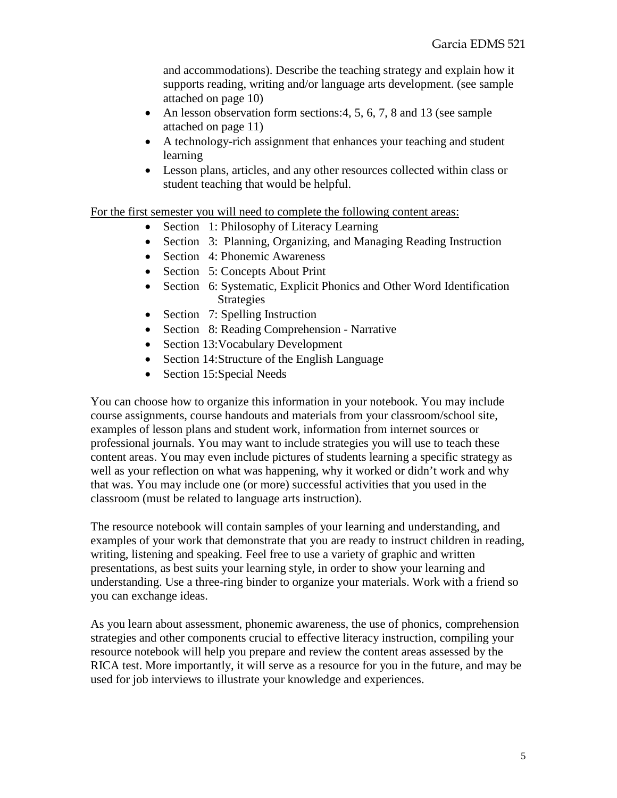and accommodations). Describe the teaching strategy and explain how it supports reading, writing and/or language arts development. (see sample attached on page 10)

- An lesson observation form sections: 4, 5, 6, 7, 8 and 13 (see sample attached on page 11)
- A technology-rich assignment that enhances your teaching and student learning
- Lesson plans, articles, and any other resources collected within class or student teaching that would be helpful.

For the first semester you will need to complete the following content areas:

- Section 1: Philosophy of Literacy Learning
- Section 3: Planning, Organizing, and Managing Reading Instruction
- Section 4: Phonemic Awareness
- Section 5: Concepts About Print
- Section 6: Systematic, Explicit Phonics and Other Word Identification Strategies
- Section 7: Spelling Instruction
- Section 8: Reading Comprehension Narrative
- Section 13: Vocabulary Development
- Section 14:Structure of the English Language
- Section 15:Special Needs

You can choose how to organize this information in your notebook. You may include course assignments, course handouts and materials from your classroom/school site, examples of lesson plans and student work, information from internet sources or professional journals. You may want to include strategies you will use to teach these content areas. You may even include pictures of students learning a specific strategy as well as your reflection on what was happening, why it worked or didn't work and why that was. You may include one (or more) successful activities that you used in the classroom (must be related to language arts instruction).

The resource notebook will contain samples of your learning and understanding, and examples of your work that demonstrate that you are ready to instruct children in reading, writing, listening and speaking. Feel free to use a variety of graphic and written presentations, as best suits your learning style, in order to show your learning and understanding. Use a three-ring binder to organize your materials. Work with a friend so you can exchange ideas.

As you learn about assessment, phonemic awareness, the use of phonics, comprehension strategies and other components crucial to effective literacy instruction, compiling your resource notebook will help you prepare and review the content areas assessed by the RICA test. More importantly, it will serve as a resource for you in the future, and may be used for job interviews to illustrate your knowledge and experiences.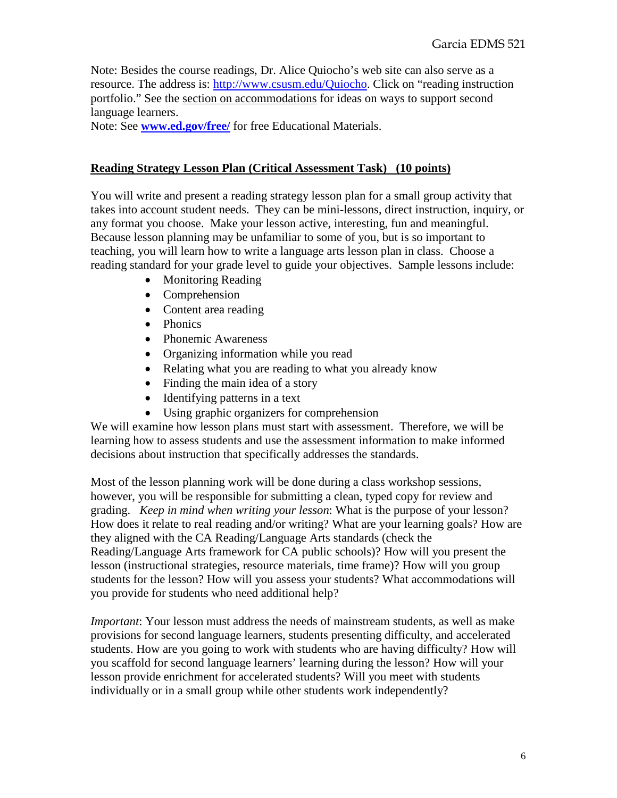Note: Besides the course readings, Dr. Alice Quiocho's web site can also serve as a resource. The address is: [http://www.csusm.edu/Quiocho.](http://www.csusm.edu/Quiocho) Click on "reading instruction portfolio." See the section on accommodations for ideas on ways to support second language learners.

Note: See **[www.ed.gov/free/](http://www.ed.gov/free/)** for free Educational Materials.

# **Reading Strategy Lesson Plan (Critical Assessment Task) (10 points)**

You will write and present a reading strategy lesson plan for a small group activity that takes into account student needs. They can be mini-lessons, direct instruction, inquiry, or any format you choose. Make your lesson active, interesting, fun and meaningful. Because lesson planning may be unfamiliar to some of you, but is so important to teaching, you will learn how to write a language arts lesson plan in class. Choose a reading standard for your grade level to guide your objectives. Sample lessons include:

- Monitoring Reading
- Comprehension
- Content area reading
- Phonics
- Phonemic Awareness
- Organizing information while you read
- Relating what you are reading to what you already know
- Finding the main idea of a story
- Identifying patterns in a text
- Using graphic organizers for comprehension

We will examine how lesson plans must start with assessment. Therefore, we will be learning how to assess students and use the assessment information to make informed decisions about instruction that specifically addresses the standards.

Most of the lesson planning work will be done during a class workshop sessions, however, you will be responsible for submitting a clean, typed copy for review and grading. *Keep in mind when writing your lesson*: What is the purpose of your lesson? How does it relate to real reading and/or writing? What are your learning goals? How are they aligned with the CA Reading/Language Arts standards (check the Reading/Language Arts framework for CA public schools)? How will you present the lesson (instructional strategies, resource materials, time frame)? How will you group students for the lesson? How will you assess your students? What accommodations will you provide for students who need additional help?

*Important*: Your lesson must address the needs of mainstream students, as well as make provisions for second language learners, students presenting difficulty, and accelerated students. How are you going to work with students who are having difficulty? How will you scaffold for second language learners' learning during the lesson? How will your lesson provide enrichment for accelerated students? Will you meet with students individually or in a small group while other students work independently?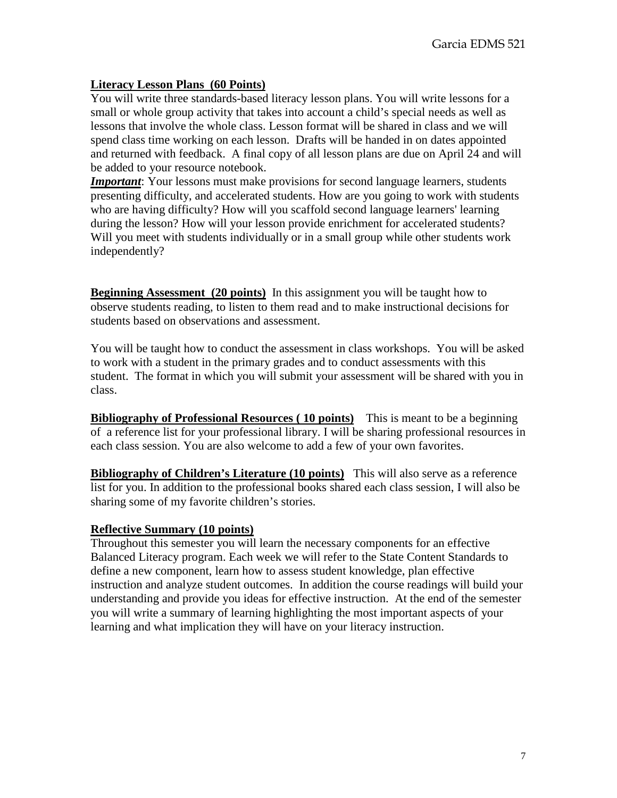# **Literacy Lesson Plans (60 Points)**

You will write three standards-based literacy lesson plans. You will write lessons for a small or whole group activity that takes into account a child's special needs as well as lessons that involve the whole class. Lesson format will be shared in class and we will spend class time working on each lesson. Drafts will be handed in on dates appointed and returned with feedback. A final copy of all lesson plans are due on April 24 and will be added to your resource notebook.

**Important**: Your lessons must make provisions for second language learners, students presenting difficulty, and accelerated students. How are you going to work with students who are having difficulty? How will you scaffold second language learners' learning during the lesson? How will your lesson provide enrichment for accelerated students? Will you meet with students individually or in a small group while other students work independently?

**Beginning Assessment (20 points)** In this assignment you will be taught how to observe students reading, to listen to them read and to make instructional decisions for students based on observations and assessment.

You will be taught how to conduct the assessment in class workshops. You will be asked to work with a student in the primary grades and to conduct assessments with this student. The format in which you will submit your assessment will be shared with you in class.

**Bibliography of Professional Resources ( 10 points)** This is meant to be a beginning of a reference list for your professional library. I will be sharing professional resources in each class session. You are also welcome to add a few of your own favorites.

**Bibliography of Children's Literature (10 points)** This will also serve as a reference list for you. In addition to the professional books shared each class session, I will also be sharing some of my favorite children's stories.

# **Reflective Summary (10 points)**

Throughout this semester you will learn the necessary components for an effective Balanced Literacy program. Each week we will refer to the State Content Standards to define a new component, learn how to assess student knowledge, plan effective instruction and analyze student outcomes. In addition the course readings will build your understanding and provide you ideas for effective instruction. At the end of the semester you will write a summary of learning highlighting the most important aspects of your learning and what implication they will have on your literacy instruction.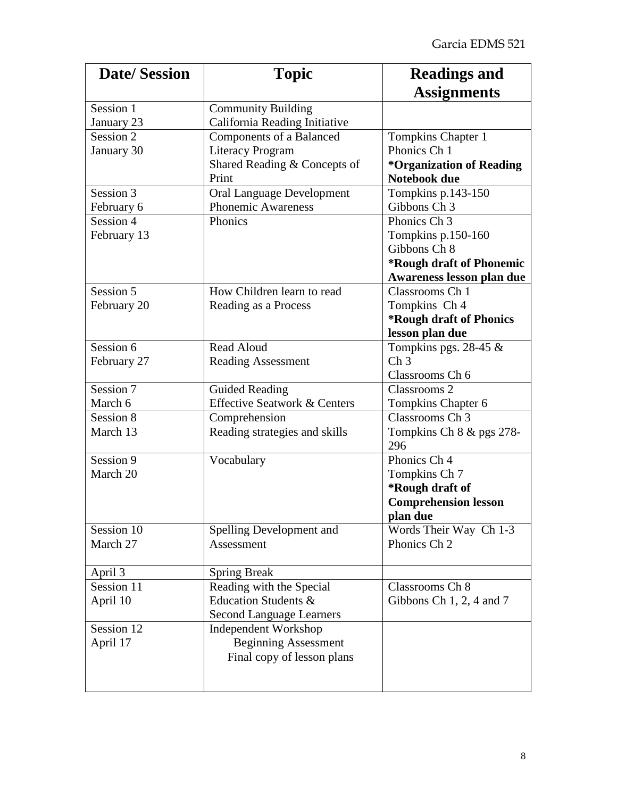| <b>Date/Session</b>     | <b>Topic</b>                                              | <b>Readings and</b>                    |
|-------------------------|-----------------------------------------------------------|----------------------------------------|
|                         |                                                           | <b>Assignments</b>                     |
| Session 1               | <b>Community Building</b>                                 |                                        |
| January 23<br>Session 2 | California Reading Initiative<br>Components of a Balanced | Tompkins Chapter 1                     |
| January 30              | <b>Literacy Program</b>                                   | Phonics Ch 1                           |
|                         | Shared Reading & Concepts of                              | <i><b>*Organization of Reading</b></i> |
|                         | Print                                                     | Notebook due                           |
| Session 3               | <b>Oral Language Development</b>                          | Tompkins p.143-150                     |
| February 6              | <b>Phonemic Awareness</b>                                 | Gibbons Ch 3                           |
| Session 4               | Phonics                                                   | Phonics Ch <sub>3</sub>                |
| February 13             |                                                           | Tompkins $p.150-160$                   |
|                         |                                                           | Gibbons Ch 8                           |
|                         |                                                           | <b>*Rough draft of Phonemic</b>        |
|                         |                                                           | Awareness lesson plan due              |
| Session 5               | How Children learn to read                                | Classrooms Ch 1                        |
| February 20             | Reading as a Process                                      | Tompkins Ch 4                          |
|                         |                                                           | <b>*Rough draft of Phonics</b>         |
|                         |                                                           | lesson plan due                        |
| Session 6               | Read Aloud                                                | Tompkins pgs. 28-45 $\&$               |
| February 27             | <b>Reading Assessment</b>                                 | Ch <sub>3</sub>                        |
|                         |                                                           | Classrooms Ch 6                        |
| Session 7               | <b>Guided Reading</b>                                     | Classrooms 2                           |
| March 6                 | <b>Effective Seatwork &amp; Centers</b>                   | Tompkins Chapter 6                     |
| Session 8               | Comprehension                                             | Classrooms Ch <sub>3</sub>             |
| March 13                | Reading strategies and skills                             | Tompkins Ch 8 & pgs 278-               |
|                         |                                                           | 296                                    |
| Session 9               | Vocabulary                                                | Phonics Ch <sub>4</sub>                |
| March 20                |                                                           | Tompkins Ch 7                          |
|                         |                                                           | *Rough draft of                        |
|                         |                                                           | <b>Comprehension lesson</b>            |
|                         |                                                           | plan due                               |
| Session 10              | Spelling Development and                                  | Words Their Way Ch 1-3                 |
| March 27                | Assessment                                                | Phonics Ch 2                           |
| April 3                 | <b>Spring Break</b>                                       |                                        |
| Session 11              | Reading with the Special                                  | Classrooms Ch 8                        |
| April 10                | Education Students &                                      | Gibbons Ch $1, 2, 4$ and $7$           |
|                         | <b>Second Language Learners</b>                           |                                        |
| Session 12              | <b>Independent Workshop</b>                               |                                        |
| April 17                | <b>Beginning Assessment</b>                               |                                        |
|                         | Final copy of lesson plans                                |                                        |
|                         |                                                           |                                        |
|                         |                                                           |                                        |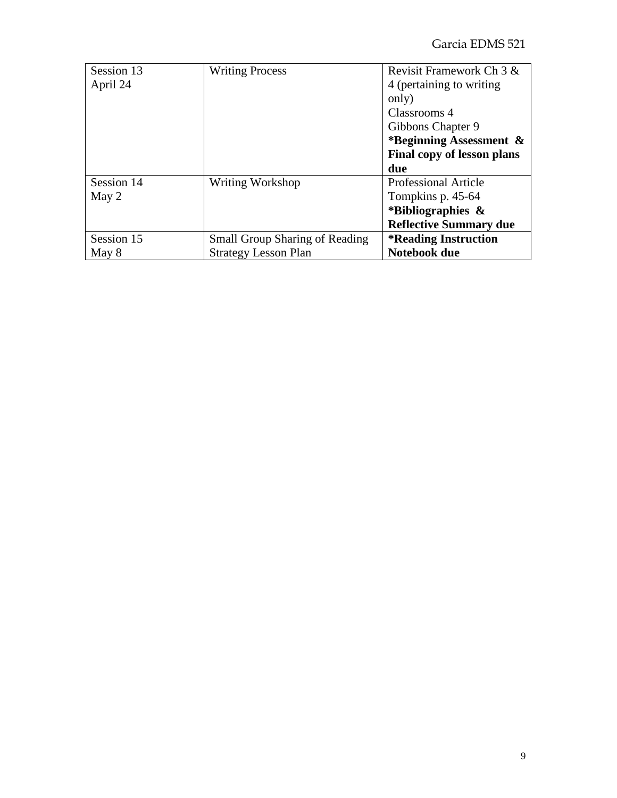Garcia EDMS 521

| Session 13 | <b>Writing Process</b>                | Revisit Framework Ch 3 &           |
|------------|---------------------------------------|------------------------------------|
| April 24   |                                       | 4 (pertaining to writing           |
|            |                                       | only)                              |
|            |                                       | Classrooms 4                       |
|            |                                       | Gibbons Chapter 9                  |
|            |                                       | *Beginning Assessment $\&$         |
|            |                                       | Final copy of lesson plans         |
|            |                                       |                                    |
|            |                                       | due                                |
| Session 14 | Writing Workshop                      | <b>Professional Article</b>        |
| May 2      |                                       | Tompkins p. 45-64                  |
|            |                                       | *Bibliographies $\&$               |
|            |                                       | <b>Reflective Summary due</b>      |
| Session 15 | <b>Small Group Sharing of Reading</b> | <i><b>*Reading Instruction</b></i> |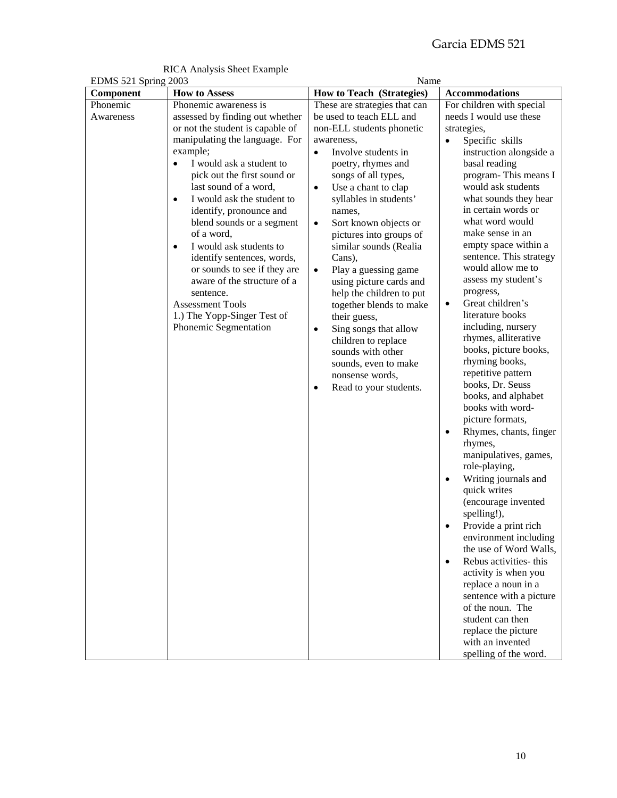|                |  | <b>RICA Analysis Sheet Example</b> |
|----------------|--|------------------------------------|
| 21 Spring 2003 |  |                                    |

|                       | <b>EDMS 521 Spring 2003</b>                                                                                                                                                                                                                                                                                                                                                                                                                                                                                                                                                                       |                                                                                                                                                                                                                                                                                                                                                                                                                                                                                                                                                                                                                                                                       | Name                                                                                                                                                                                                                                                                                                                                                                                                                                                                                                                                                                                                                                                                                                                                                                                                                                                                                                                                                                                                                                                                                                                                      |  |
|-----------------------|---------------------------------------------------------------------------------------------------------------------------------------------------------------------------------------------------------------------------------------------------------------------------------------------------------------------------------------------------------------------------------------------------------------------------------------------------------------------------------------------------------------------------------------------------------------------------------------------------|-----------------------------------------------------------------------------------------------------------------------------------------------------------------------------------------------------------------------------------------------------------------------------------------------------------------------------------------------------------------------------------------------------------------------------------------------------------------------------------------------------------------------------------------------------------------------------------------------------------------------------------------------------------------------|-------------------------------------------------------------------------------------------------------------------------------------------------------------------------------------------------------------------------------------------------------------------------------------------------------------------------------------------------------------------------------------------------------------------------------------------------------------------------------------------------------------------------------------------------------------------------------------------------------------------------------------------------------------------------------------------------------------------------------------------------------------------------------------------------------------------------------------------------------------------------------------------------------------------------------------------------------------------------------------------------------------------------------------------------------------------------------------------------------------------------------------------|--|
| Component             | <b>How to Assess</b>                                                                                                                                                                                                                                                                                                                                                                                                                                                                                                                                                                              | How to Teach (Strategies)                                                                                                                                                                                                                                                                                                                                                                                                                                                                                                                                                                                                                                             | <b>Accommodations</b>                                                                                                                                                                                                                                                                                                                                                                                                                                                                                                                                                                                                                                                                                                                                                                                                                                                                                                                                                                                                                                                                                                                     |  |
| Phonemic<br>Awareness | Phonemic awareness is<br>assessed by finding out whether<br>or not the student is capable of<br>manipulating the language. For<br>example;<br>I would ask a student to<br>$\bullet$<br>pick out the first sound or<br>last sound of a word,<br>I would ask the student to<br>$\bullet$<br>identify, pronounce and<br>blend sounds or a segment<br>of a word,<br>I would ask students to<br>$\bullet$<br>identify sentences, words,<br>or sounds to see if they are<br>aware of the structure of a<br>sentence.<br><b>Assessment Tools</b><br>1.) The Yopp-Singer Test of<br>Phonemic Segmentation | These are strategies that can<br>be used to teach ELL and<br>non-ELL students phonetic<br>awareness,<br>Involve students in<br>$\bullet$<br>poetry, rhymes and<br>songs of all types,<br>Use a chant to clap<br>$\bullet$<br>syllables in students'<br>names,<br>Sort known objects or<br>$\bullet$<br>pictures into groups of<br>similar sounds (Realia<br>Cans),<br>Play a guessing game<br>$\bullet$<br>using picture cards and<br>help the children to put<br>together blends to make<br>their guess,<br>Sing songs that allow<br>$\bullet$<br>children to replace<br>sounds with other<br>sounds, even to make<br>nonsense words,<br>Read to your students.<br>٠ | For children with special<br>needs I would use these<br>strategies,<br>Specific skills<br>$\bullet$<br>instruction alongside a<br>basal reading<br>program-This means I<br>would ask students<br>what sounds they hear<br>in certain words or<br>what word would<br>make sense in an<br>empty space within a<br>sentence. This strategy<br>would allow me to<br>assess my student's<br>progress,<br>Great children's<br>$\bullet$<br>literature books<br>including, nursery<br>rhymes, alliterative<br>books, picture books,<br>rhyming books,<br>repetitive pattern<br>books, Dr. Seuss<br>books, and alphabet<br>books with word-<br>picture formats,<br>Rhymes, chants, finger<br>rhymes,<br>manipulatives, games,<br>role-playing,<br>Writing journals and<br>$\bullet$<br>quick writes<br>(encourage invented<br>spelling!),<br>Provide a print rich<br>environment including<br>the use of Word Walls,<br>Rebus activities- this<br>$\bullet$<br>activity is when you<br>replace a noun in a<br>sentence with a picture<br>of the noun. The<br>student can then<br>replace the picture<br>with an invented<br>spelling of the word. |  |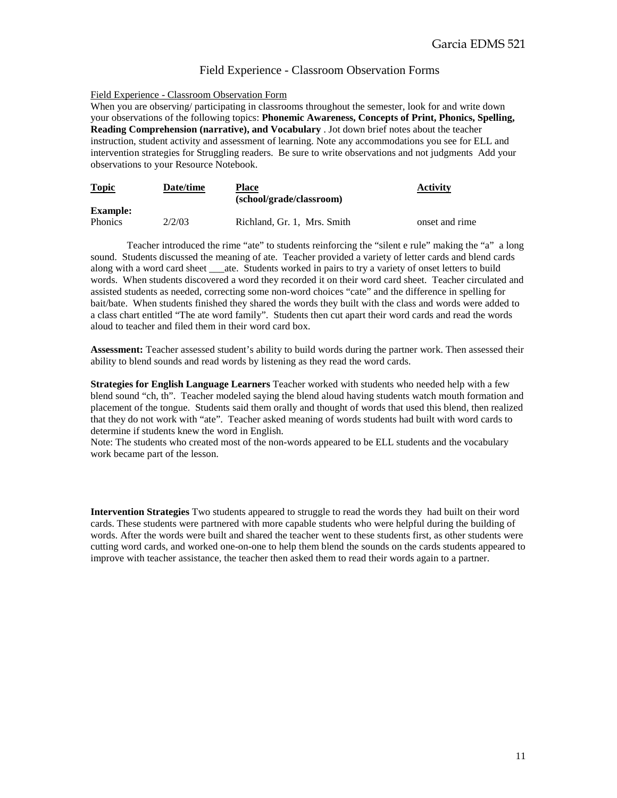### Field Experience - Classroom Observation Forms

### Field Experience - Classroom Observation Form

When you are observing/ participating in classrooms throughout the semester, look for and write down your observations of the following topics: **Phonemic Awareness, Concepts of Print, Phonics, Spelling, Reading Comprehension (narrative), and Vocabulary** . Jot down brief notes about the teacher instruction, student activity and assessment of learning. Note any accommodations you see for ELL and intervention strategies for Struggling readers. Be sure to write observations and not judgments Add your observations to your Resource Notebook.

| <b>Topic</b>    | Date/time | Place<br>(school/grade/classroom) | <b>Activity</b> |
|-----------------|-----------|-----------------------------------|-----------------|
| <b>Example:</b> |           |                                   |                 |
| <b>Phonics</b>  | 2/2/03    | Richland, Gr. 1. Mrs. Smith       | onset and rime  |

Teacher introduced the rime "ate" to students reinforcing the "silent e rule" making the "a" a long sound. Students discussed the meaning of ate. Teacher provided a variety of letter cards and blend cards along with a word card sheet \_\_\_ate. Students worked in pairs to try a variety of onset letters to build words. When students discovered a word they recorded it on their word card sheet. Teacher circulated and assisted students as needed, correcting some non-word choices "cate" and the difference in spelling for bait/bate. When students finished they shared the words they built with the class and words were added to a class chart entitled "The ate word family". Students then cut apart their word cards and read the words aloud to teacher and filed them in their word card box.

**Assessment:** Teacher assessed student's ability to build words during the partner work. Then assessed their ability to blend sounds and read words by listening as they read the word cards.

**Strategies for English Language Learners** Teacher worked with students who needed help with a few blend sound "ch, th". Teacher modeled saying the blend aloud having students watch mouth formation and placement of the tongue. Students said them orally and thought of words that used this blend, then realized that they do not work with "ate". Teacher asked meaning of words students had built with word cards to determine if students knew the word in English.

Note: The students who created most of the non-words appeared to be ELL students and the vocabulary work became part of the lesson.

**Intervention Strategies** Two students appeared to struggle to read the words they had built on their word cards. These students were partnered with more capable students who were helpful during the building of words. After the words were built and shared the teacher went to these students first, as other students were cutting word cards, and worked one-on-one to help them blend the sounds on the cards students appeared to improve with teacher assistance, the teacher then asked them to read their words again to a partner.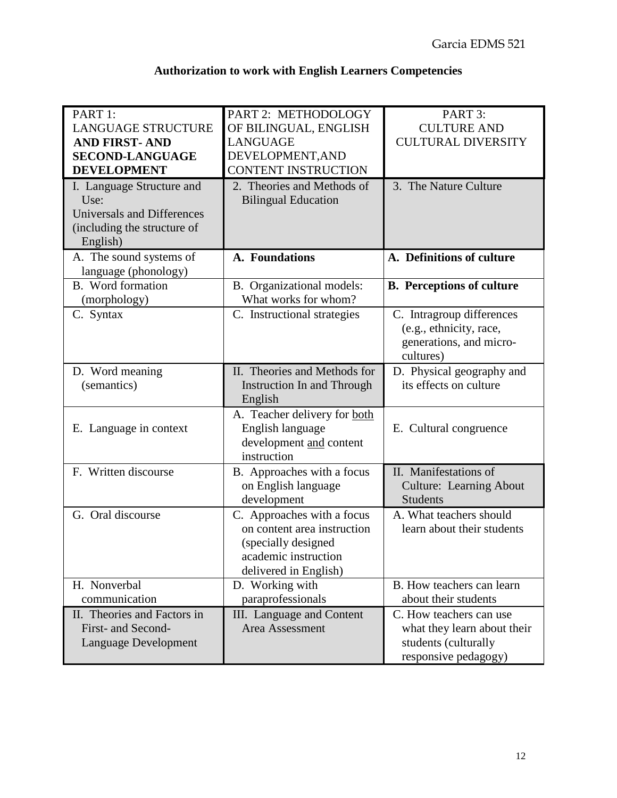# **Authorization to work with English Learners Competencies**

| PART 1:<br><b>LANGUAGE STRUCTURE</b><br><b>AND FIRST-AND</b><br><b>SECOND-LANGUAGE</b><br><b>DEVELOPMENT</b><br>I. Language Structure and | PART 2: METHODOLOGY<br>OF BILINGUAL, ENGLISH<br><b>LANGUAGE</b><br>DEVELOPMENT, AND<br><b>CONTENT INSTRUCTION</b><br>2. Theories and Methods of | PART 3:<br><b>CULTURE AND</b><br><b>CULTURAL DIVERSITY</b><br>3. The Nature Culture                    |
|-------------------------------------------------------------------------------------------------------------------------------------------|-------------------------------------------------------------------------------------------------------------------------------------------------|--------------------------------------------------------------------------------------------------------|
| Use:<br><b>Universals and Differences</b><br>(including the structure of<br>English)                                                      | <b>Bilingual Education</b>                                                                                                                      |                                                                                                        |
| A. The sound systems of<br>language (phonology)                                                                                           | A. Foundations                                                                                                                                  | A. Definitions of culture                                                                              |
| B. Word formation<br>(morphology)                                                                                                         | B. Organizational models:<br>What works for whom?                                                                                               | <b>B.</b> Perceptions of culture                                                                       |
| C. Syntax                                                                                                                                 | C. Instructional strategies                                                                                                                     | C. Intragroup differences<br>(e.g., ethnicity, race,<br>generations, and micro-<br>cultures)           |
| D. Word meaning<br>(semantics)                                                                                                            | II. Theories and Methods for<br>Instruction In and Through<br>English                                                                           | D. Physical geography and<br>its effects on culture                                                    |
| E. Language in context                                                                                                                    | A. Teacher delivery for both<br>English language<br>development and content<br>instruction                                                      | E. Cultural congruence                                                                                 |
| F. Written discourse                                                                                                                      | B. Approaches with a focus<br>on English language<br>development                                                                                | II. Manifestations of<br><b>Culture: Learning About</b><br><b>Students</b>                             |
| G. Oral discourse                                                                                                                         | C. Approaches with a focus<br>on content area instruction<br>(specially designed<br>academic instruction<br>delivered in English)               | A. What teachers should<br>learn about their students                                                  |
| H. Nonverbal<br>communication                                                                                                             | D. Working with<br>paraprofessionals                                                                                                            | B. How teachers can learn<br>about their students                                                      |
| II. Theories and Factors in<br>First- and Second-<br>Language Development                                                                 | III. Language and Content<br>Area Assessment                                                                                                    | C. How teachers can use<br>what they learn about their<br>students (culturally<br>responsive pedagogy) |